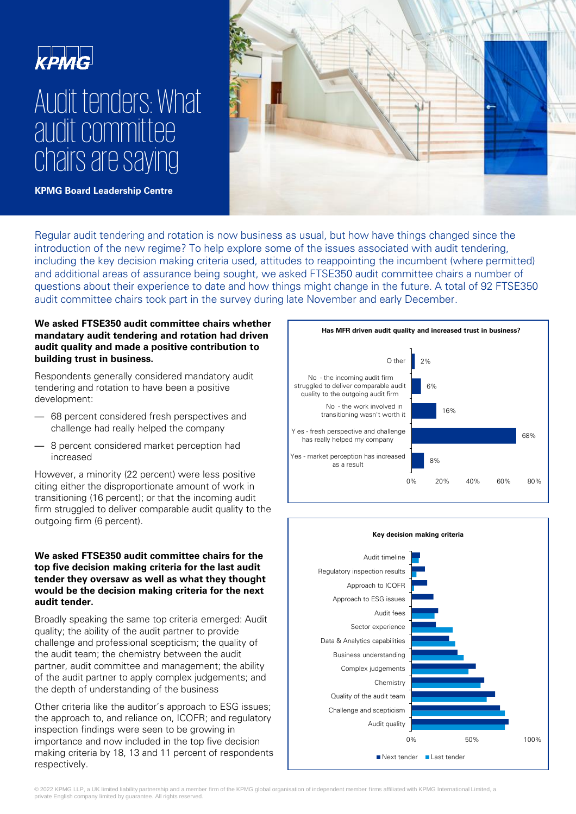

# Audit tenders: What audit committee chairs are saying



**KPMG Board Leadership Centre**

Regular audit tendering and rotation is now business as usual, but how have things changed since the introduction of the new regime? To help explore some of the issues associated with audit tendering, including the key decision making criteria used, attitudes to reappointing the incumbent (where permitted) and additional areas of assurance being sought, we asked FTSE350 audit committee chairs a number of questions about their experience to date and how things might change in the future. A total of 92 FTSE350 audit committee chairs took part in the survey during late November and early December.

# **We asked FTSE350 audit committee chairs whether mandatary audit tendering and rotation had driven audit quality and made a positive contribution to building trust in business.**

Respondents generally considered mandatory audit tendering and rotation to have been a positive development:

- 68 percent considered fresh perspectives and challenge had really helped the company
- 8 percent considered market perception had increased

However, a minority (22 percent) were less positive citing either the disproportionate amount of work in transitioning (16 percent); or that the incoming audit firm struggled to deliver comparable audit quality to the outgoing firm (6 percent).

#### **We asked FTSE350 audit committee chairs for the top five decision making criteria for the last audit tender they oversaw as well as what they thought would be the decision making criteria for the next audit tender.**

Broadly speaking the same top criteria emerged: Audit quality; the ability of the audit partner to provide challenge and professional scepticism; the quality of the audit team; the chemistry between the audit partner, audit committee and management; the ability of the audit partner to apply complex judgements; and the depth of understanding of the business

Other criteria like the auditor's approach to ESG issues; the approach to, and reliance on, ICOFR; and regulatory inspection findings were seen to be growing in importance and now included in the top five decision making criteria by 18, 13 and 11 percent of respondents respectively.





© 2022 KPMG LLP, a UK limited liability partnership and a member firm of the KPMG global organisation of independent member firms affiliated with KPMG International Limited, a private English company limited by guarantee. All rights reserved.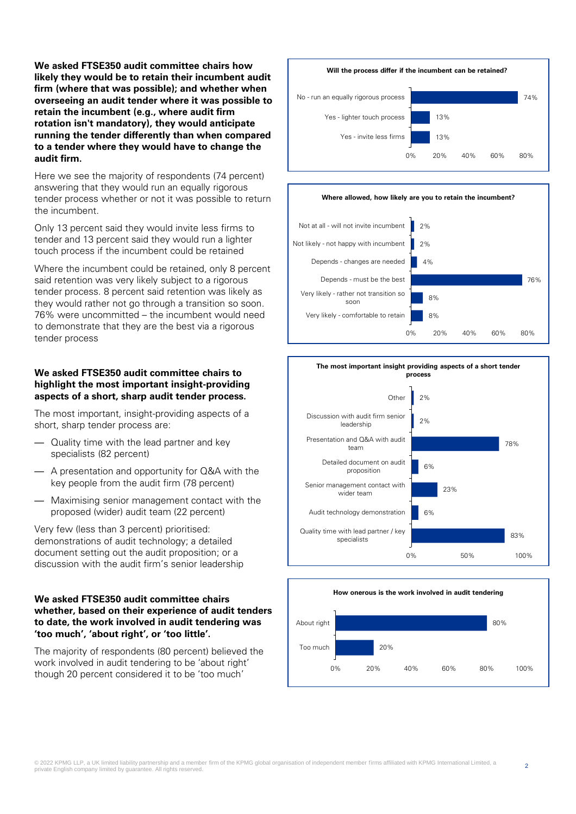**We asked FTSE350 audit committee chairs how likely they would be to retain their incumbent audit firm (where that was possible); and whether when overseeing an audit tender where it was possible to retain the incumbent (e.g., where audit firm rotation isn't mandatory), they would anticipate running the tender differently than when compared to a tender where they would have to change the audit firm.**

Here we see the majority of respondents (74 percent) answering that they would run an equally rigorous tender process whether or not it was possible to return the incumbent.

Only 13 percent said they would invite less firms to tender and 13 percent said they would run a lighter touch process if the incumbent could be retained

Where the incumbent could be retained, only 8 percent said retention was very likely subject to a rigorous tender process. 8 percent said retention was likely as they would rather not go through a transition so soon. 76% were uncommitted – the incumbent would need to demonstrate that they are the best via a rigorous tender process

# **We asked FTSE350 audit committee chairs to highlight the most important insight-providing aspects of a short, sharp audit tender process.**

The most important, insight-providing aspects of a short, sharp tender process are:

- Quality time with the lead partner and key specialists (82 percent)
- A presentation and opportunity for Q&A with the key people from the audit firm (78 percent)
- Maximising senior management contact with the proposed (wider) audit team (22 percent)

Very few (less than 3 percent) prioritised: demonstrations of audit technology; a detailed document setting out the audit proposition; or a discussion with the audit firm's senior leadership

### **We asked FTSE350 audit committee chairs whether, based on their experience of audit tenders to date, the work involved in audit tendering was 'too much', 'about right', or 'too little'.**

The majority of respondents (80 percent) believed the work involved in audit tendering to be 'about right' though 20 percent considered it to be 'too much'



#### **Where allowed, how likely are you to retain the incumbent?**